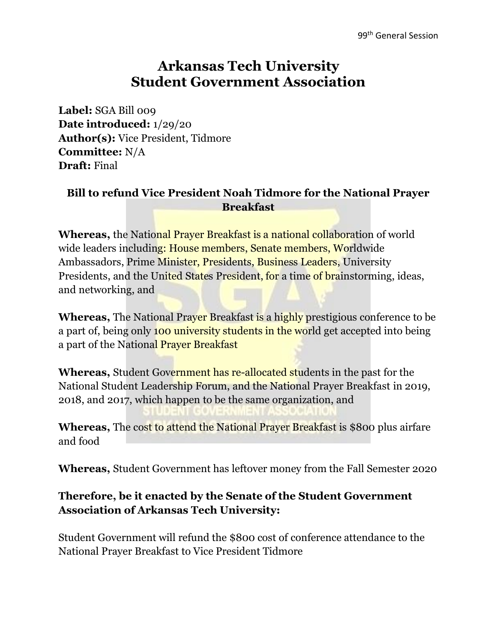## **Arkansas Tech University Student Government Association**

**Label:** SGA Bill 009 **Date introduced:** 1/29/20 **Author(s):** Vice President, Tidmore **Committee:** N/A **Draft:** Final

## **Bill to refund Vice President Noah Tidmore for the National Prayer Breakfast**

**Whereas,** the National Prayer Breakfast is a national collaboration of world wide leaders including: House members, Senate members, Worldwide Ambassadors, Prime Minister, Presidents, Business Leaders, University Presidents, and the United States President, for a time of brainstorming, ideas, and networking, and

**Whereas,** The National Prayer Breakfast is a highly prestigious conference to be a part of, being only 100 university students in the world get accepted into being a part of the National Prayer Breakfast

**Whereas,** Student Government has re-allocated students in the past for the National Student Leadership Forum, and the National Prayer Breakfast in 2019, 2018, and 2017, which happen to be the same organization, and

**Whereas,** The cost to attend the National Prayer Breakfast is \$800 plus airfare and food

**Whereas,** Student Government has leftover money from the Fall Semester 2020

## **Therefore, be it enacted by the Senate of the Student Government Association of Arkansas Tech University:**

Student Government will refund the \$800 cost of conference attendance to the National Prayer Breakfast to Vice President Tidmore